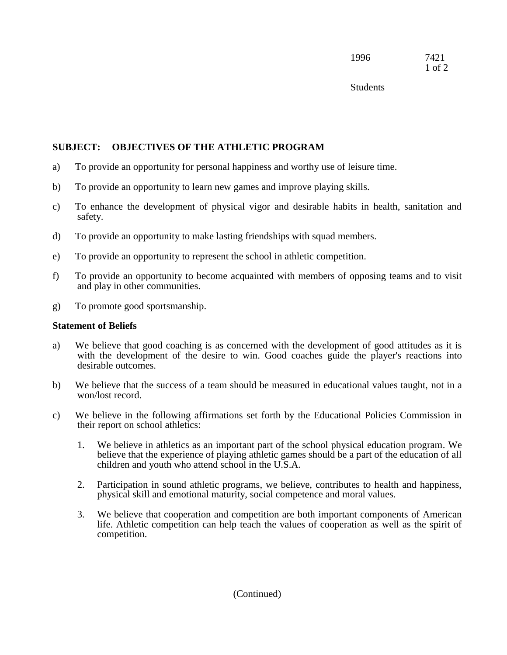**Students** 

## **SUBJECT: OBJECTIVES OF THE ATHLETIC PROGRAM**

- a) To provide an opportunity for personal happiness and worthy use of leisure time.
- b) To provide an opportunity to learn new games and improve playing skills.
- c) To enhance the development of physical vigor and desirable habits in health, sanitation and safety.
- d) To provide an opportunity to make lasting friendships with squad members.
- e) To provide an opportunity to represent the school in athletic competition.
- f) To provide an opportunity to become acquainted with members of opposing teams and to visit and play in other communities.
- g) To promote good sportsmanship.

## **Statement of Beliefs**

- a) We believe that good coaching is as concerned with the development of good attitudes as it is with the development of the desire to win. Good coaches guide the player's reactions into desirable outcomes.
- b) We believe that the success of a team should be measured in educational values taught, not in a won/lost record.
- c) We believe in the following affirmations set forth by the Educational Policies Commission in their report on school athletics:
	- 1. We believe in athletics as an important part of the school physical education program. We believe that the experience of playing athletic games should be a part of the education of all children and youth who attend school in the U.S.A.
	- 2. Participation in sound athletic programs, we believe, contributes to health and happiness, physical skill and emotional maturity, social competence and moral values.
	- 3. We believe that cooperation and competition are both important components of American life. Athletic competition can help teach the values of cooperation as well as the spirit of competition.